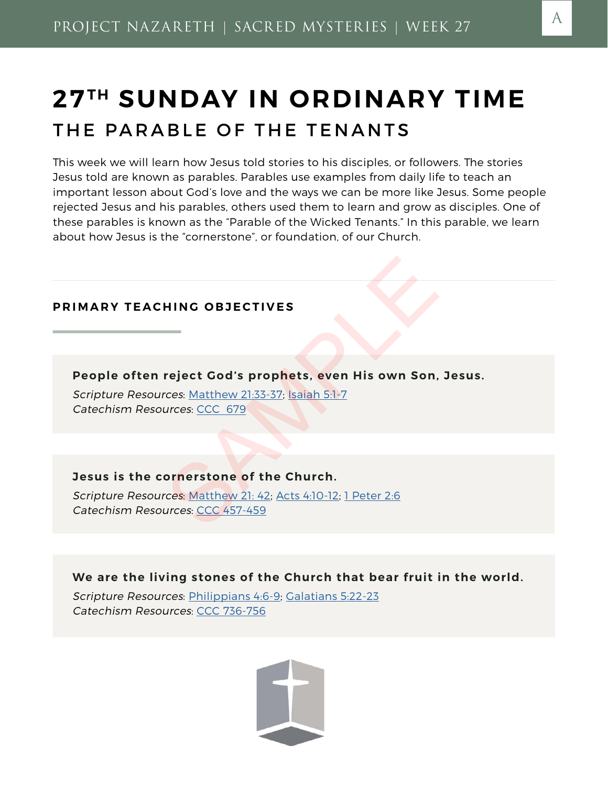# **27 TH SUNDAY IN ORDINARY TIME** THE PARABLE OF THE TENANTS

This week we will learn how Jesus told stories to his disciples, or followers. The stories Jesus told are known as parables. Parables use examples from daily life to teach an important lesson about God's love and the ways we can be more like Jesus. Some people rejected Jesus and his parables, others used them to learn and grow as disciples. One of these parables is known as the "Parable of the Wicked Tenants." In this parable, we learn about how Jesus is the "cornerstone", or foundation, of our Church.

# **PRIMARY TEACHING OBJECTIVES**

**People often reject God's prophets, even His own Son, Jesus.**

Scripture Resources: Matthew 21:33-37; Isaiah 5:1-7 Catechism Resources: CCC 679

#### **Jesus is the cornerstone of the Church.**

Scripture Resources: Matthew 21: 42; Acts 4:10-12; 1 Peter 2:6 Catechism Resources: CCC 457-459 HING OBJECTIVES<br>
Treject God's prophets, even His own Son,<br>
The [SA](http://www.usccb.org/bible/matthew/21)[MP](http://www.usccb.org/bible/isaiah/5)LE COSE STAMP (STAMPLE COSE)<br>
The SAMPLE COSE STAMP (STAMPLE COSE)<br>
The SAMPLE COSE STAMP (STAMPLE COSE)<br>
The SAMPLE COSE STAMPLE COSE STAMPLE COSE STAMPL

**We are the living stones of the Church that bear fruit in the world.**

Scripture Resources: [Philippians 4:6-9](http://www.usccb.org/bible/philippians/4); Galatians 5:22-23 Catechism Resources: CCC 736-756

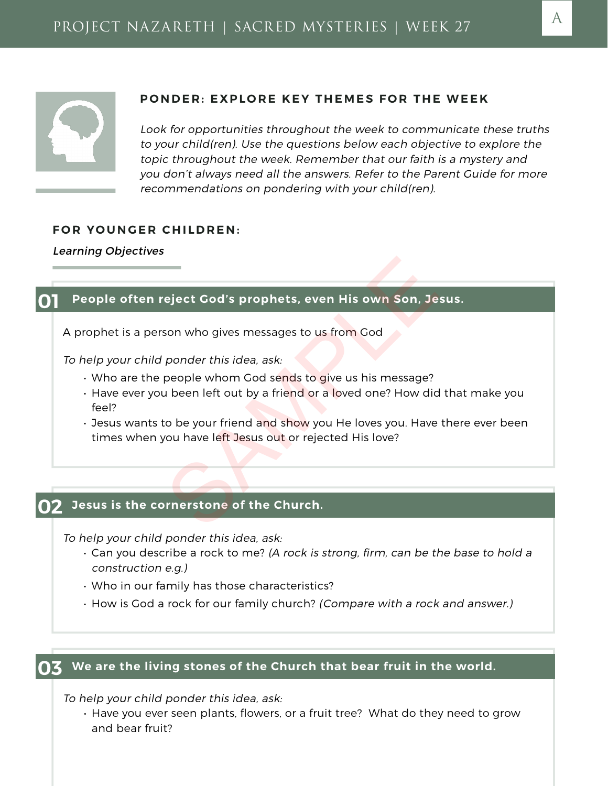

#### **PONDER: EXPLORE KEY THEMES FOR THE WEEK**

Look for opportunities throughout the week to communicate these truths to your child(ren). Use the questions below each objective to explore the topic throughout the week. Remember that our faith is a mystery and you don't always need all the answers. Refer to the Parent Guide for more recommendations on pondering with your child(ren).

#### **FOR YOUNGER CHILDREN:**

Learning Objectives

#### **01 People often reject God's prophets, even His own Son, Jesus.**

A prophet is a person who gives messages to us from God

To help your child ponder this idea, ask:

- $\cdot$  Who are the people whom God sends to give us his message?
- Have ever you been left out by a friend or a loved one? How did that make you feel? eject God's prophets, even His own Son, Je<br>son who gives messages to us from God<br>ponder this idea, ask:<br>people whom God sends to give us his message?<br>u been left out by a friend or a loved one? How did<br>co be your friend an
- Jesus wants to be your friend and show you He loves you. Have there ever been times when you have left Jesus out or rejected His love?

#### **02 Jesus is the cornerstone of the Church.**

To help your child ponder this idea, ask:

- Can you describe a rock to me? (A rock is strong, firm, can be the base to hold a construction e.g.)
- Who in our family has those characteristics?
- How is God a rock for our family church? (Compare with a rock and answer.)

#### **03 We are the living stones of the Church that bear fruit in the world.**

To help your child ponder this idea, ask:

• Have you ever seen plants, flowers, or a fruit tree? What do they need to grow and bear fruit?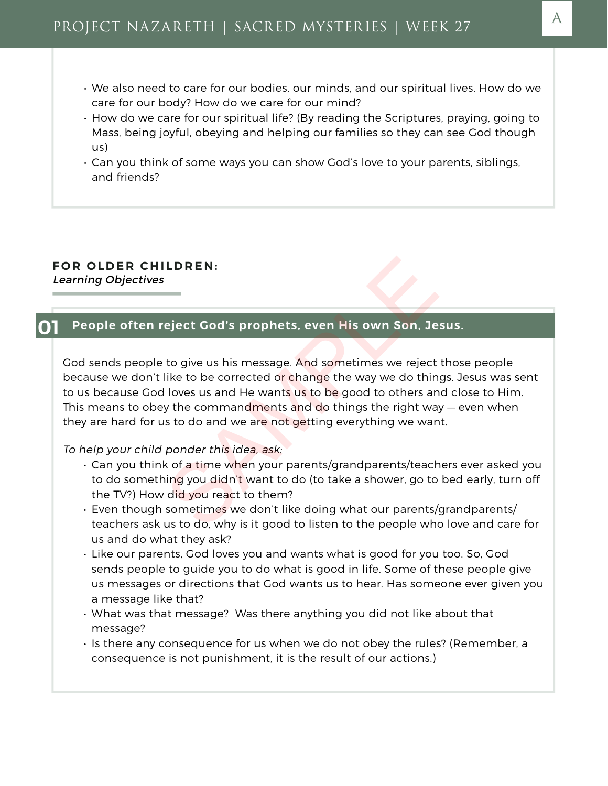- We also need to care for our bodies, our minds, and our spiritual lives. How do we care for our body? How do we care for our mind?
- How do we care for our spiritual life? (By reading the Scriptures, praying, going to Mass, being joyful, obeying and helping our families so they can see God though us)
- Can you think of some ways you can show God's love to your parents, siblings, and friends?

# **FOR OLDER CHILDREN:** Learning Objectives

#### **01 People often reject God's prophets, even His own Son, Jesus.**

God sends people to give us his message. And sometimes we reject those people because we don't like to be corrected or change the way we do things. Jesus was sent to us because God loves us and He wants us to be good to others and close to Him. This means to obey the commandments and do things the right way – even when they are hard for us to do and we are not getting everything we want. LDREN:<br>
eject God's prophets, even His own Son, Je<br>
to give us his message. And sometimes we reject<br>
like to be corrected or change the way we do thin<br>
loves us and He wants us to be good to others an<br>
y the commandments a

#### To help your child ponder this idea, ask:

- Can you think of a time when your parents/grandparents/teachers ever asked you to do something you didn't want to do (to take a shower, go to bed early, turn off the TV?) How did you react to them?
- Even though sometimes we don't like doing what our parents/grandparents/ teachers ask us to do, why is it good to listen to the people who love and care for us and do what they ask?
- Like our parents, God loves you and wants what is good for you too. So, God sends people to guide you to do what is good in life. Some of these people give us messages or directions that God wants us to hear. Has someone ever given you a message like that?
- What was that message? Was there anything you did not like about that message?
- Is there any consequence for us when we do not obey the rules? (Remember, a consequence is not punishment, it is the result of our actions.)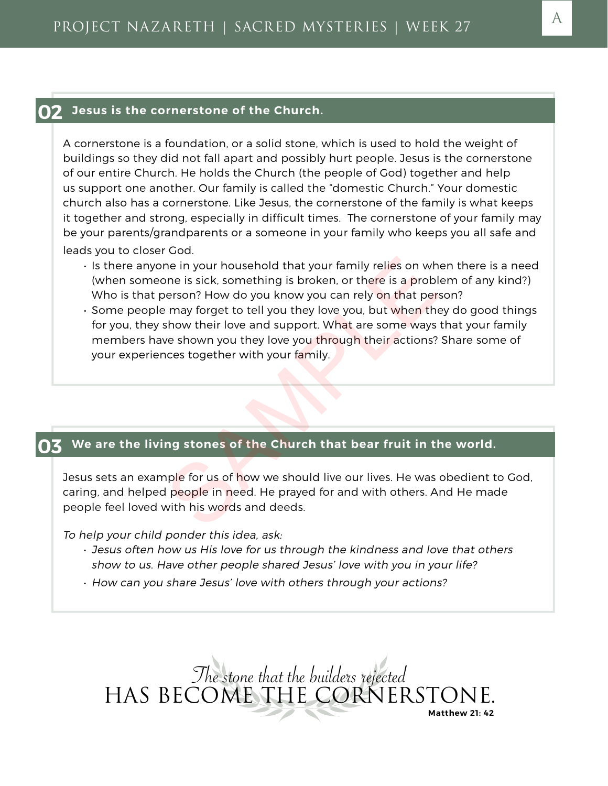#### **02 Jesus is the cornerstone of the Church.**

A cornerstone is a foundation, or a solid stone, which is used to hold the weight of buildings so they did not fall apart and possibly hurt people. Jesus is the cornerstone of our entire Church. He holds the Church (the people of God) together and help us support one another. Our family is called the "domestic Church." Your domestic church also has a cornerstone. Like Jesus, the cornerstone of the family is what keeps it together and strong, especially in difficult times. The cornerstone of your family may be your parents/grandparents or a someone in your family who keeps you all safe and leads you to closer God.

- Is there anyone in your household that your family relies on when there is a need (when someone is sick, something is broken, or there is a problem of any kind?) Who is that person? How do you know you can rely on that person?
- Some people may forget to tell you they love you, but when they do good things for you, they show their love and support. What are some ways that your family members have shown you they love you through their actions? Share some of your experiences together with your family. ne in your household that your family relies on wh<br>one is sick, something is broken, or there is a problems<br>on? How do you know you can rely on that persing the may forget to tell you they love you, but when the<br>show their

#### **03 We are the living stones of the Church that bear fruit in the world.**

Jesus sets an example for us of how we should live our lives. He was obedient to God, caring, and helped people in need. He prayed for and with others. And He made people feel loved with his words and deeds.

To help your child ponder this idea, ask:

- Jesus often how us His love for us through the kindness and love that others show to us. Have other people shared Jesus' love with you in your life?
- How can you share Jesus' love with others through your actions?

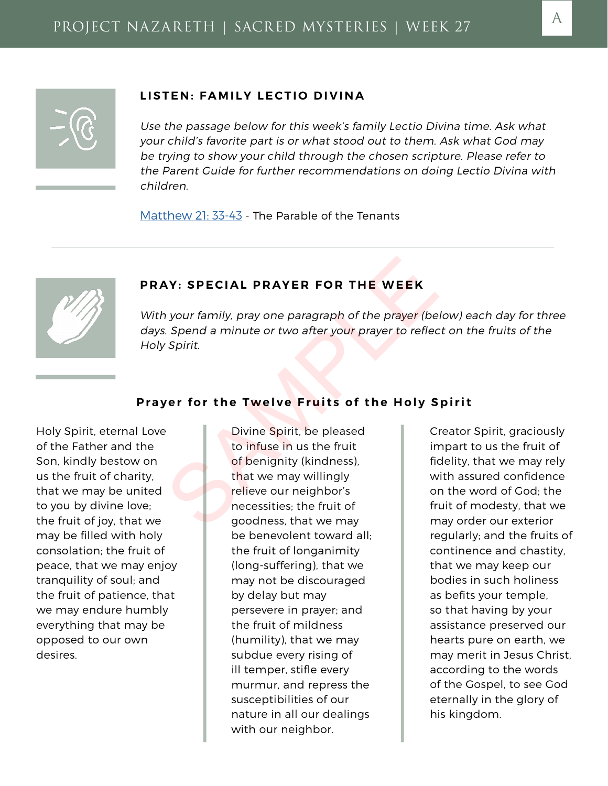# **LISTEN: FAMILY LECTIO DIVINA**

Use the passage below for this week's family Lectio Divina time. Ask what your child's favorite part is or what stood out to them. Ask what God may be trying to show your child through the chosen scripture. Please refer to the Parent Guide for further recommendations on doing Lectio Divina with children.

[Matthew 21: 33-43](http://www.usccb.org/bible/matthew/21) - The Parable of the Tenants



# **PRAY: SPECIAL PRAYER FOR THE WEEK**

With your family, pray one paragraph of the prayer (below) each day for three days. Spend a minute or two after your prayer to reflect on the fruits of the Holy Spirit.

# **Prayer for the Twelve Fruits of the Holy Spirit**

Holy Spirit, eternal Love of the Father and the Son, kindly bestow on us the fruit of charity, that we may be united to you by divine love; the fruit of joy, that we may be filled with holy consolation; the fruit of peace, that we may enjoy tranquility of soul; and the fruit of patience, that we may endure humbly everything that may be opposed to our own desires.

Divine Spirit, be pleased to infuse in us the fruit of benignity (kindness), that we may willingly relieve our neighbor's necessities; the fruit of goodness, that we may be benevolent toward all; the fruit of longanimity (long-suffering), that we may not be discouraged by delay but may persevere in prayer; and the fruit of mildness (humility), that we may subdue every rising of ill temper, stifle every murmur, and repress the susceptibilities of our nature in all our dealings with our neighbor. Note: SPECIAL PRAYER FOR THE WEEK<br>
Spend a minute or two after your prayer to reflect<br>
Spirit.<br>
Spirit.<br>
Spirit.<br>
Spirit.<br>
Spirit.<br>
Spirit.<br>
Spirit.<br>
Spirit.<br>
Spirit.<br>
Spirit.<br>
Spirit.<br>
Spirit.<br>
Spirit.<br>
Spirit. be pleased

Creator Spirit, graciously impart to us the fruit of fidelity, that we may rely with assured confidence on the word of God; the fruit of modesty, that we may order our exterior regularly; and the fruits of continence and chastity, that we may keep our bodies in such holiness as befits your temple, so that having by your assistance preserved our hearts pure on earth, we may merit in Jesus Christ, according to the words of the Gospel, to see God eternally in the glory of his kingdom.